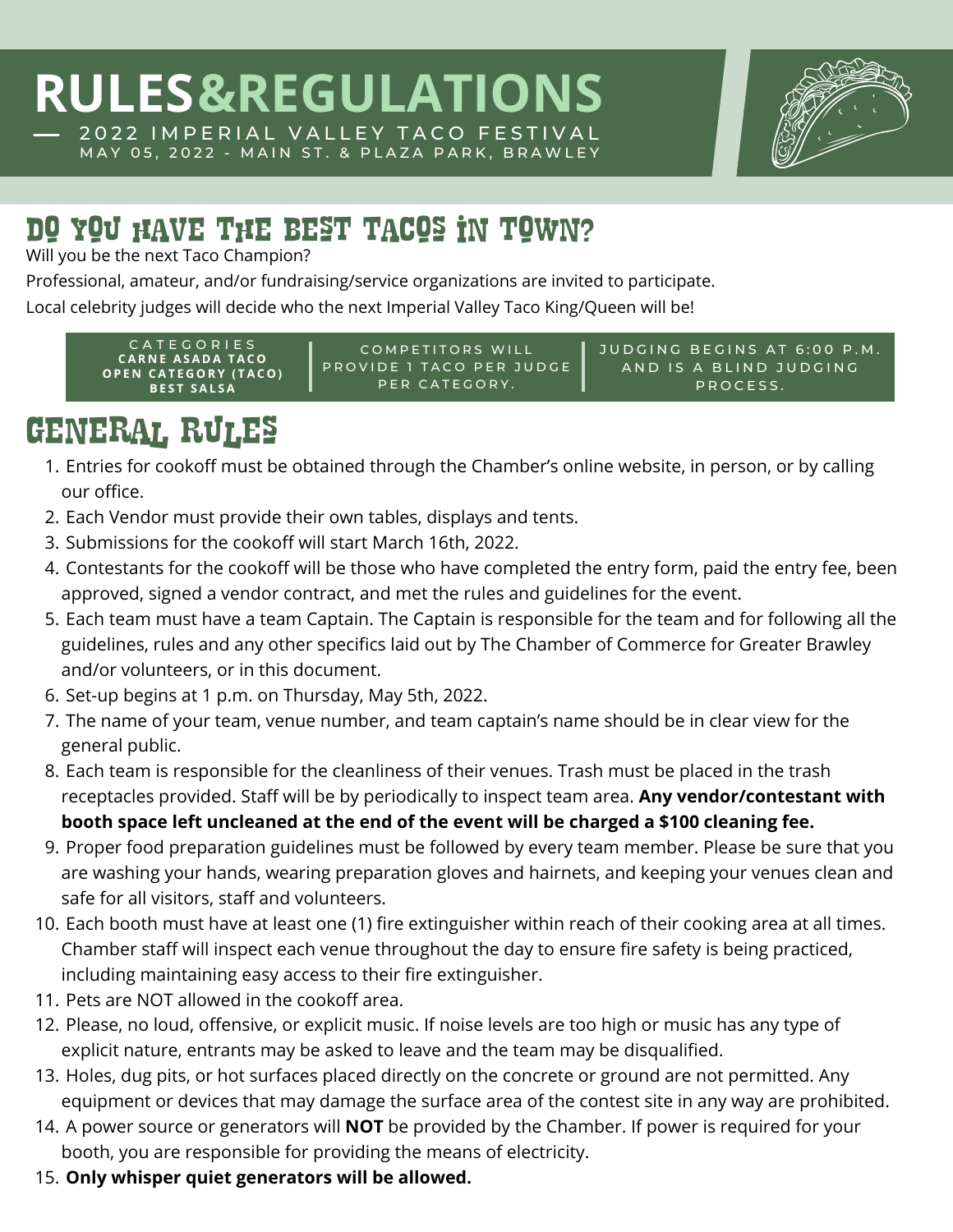

#### Do you have the best tacos in town?

Will you be the next Taco Champion?

Professional, amateur, and/or fundraising/service organizations are invited to participate.

Local celebrity judges will decide who the next Imperial Valley Taco King/Queen will be!

CATEGORIES COMPETITORS WILL PROVIDE 1 TACO PER JUDGE PER CATEGORY. JUDGING BEGINS AT 6:00 P.M. AND IS A BLIND JUDGING PROCESS. **C A R N E A S A D A T A C O O P E N C A T E G O R Y ( T A C O ) B E S T S A L S A**

# General Rules

- 1. Entries for cookoff must be obtained through the Chamber's online website, in person, or by calling our office.
- Each Vendor must provide their own tables, displays and tents. 2.
- 3. Submissions for the cookoff will start March 16th, 2022.
- 4. Contestants for the cookoff will be those who have completed the entry form, paid the entry fee, been approved, signed a vendor contract, and met the rules and guidelines for the event.
- Each team must have a team Captain. The Captain is responsible for the team and for following all the 5. guidelines, rules and any other specifics laid out by The Chamber of Commerce for Greater Brawley and/or volunteers, or in this document.
- Set-up begins at 1 p.m. on Thursday, May 5th, 2022. 6.
- The name of your team, venue number, and team captain's name should be in clear view for the 7. general public.
- Each team is responsible for the cleanliness of their venues. Trash must be placed in the trash 8. receptacles provided. Staff will be by periodically to inspect team area. **Any vendor/contestant with booth space left uncleaned at the end of the event will be charged a \$100 cleaning fee.**
- Proper food preparation guidelines must be followed by every team member. Please be sure that you 9. are washing your hands, wearing preparation gloves and hairnets, and keeping your venues clean and safe for all visitors, staff and volunteers.
- 10. Each booth must have at least one (1) fire extinguisher within reach of their cooking area at all times. Chamber staff will inspect each venue throughout the day to ensure fire safety is being practiced, including maintaining easy access to their fire extinguisher.
- 11. Pets are NOT allowed in the cookoff area.
- 12. Please, no loud, offensive, or explicit music. If noise levels are too high or music has any type of explicit nature, entrants may be asked to leave and the team may be disqualified.
- 13. Holes, dug pits, or hot surfaces placed directly on the concrete or ground are not permitted. Any equipment or devices that may damage the surface area of the contest site in any way are prohibited.
- 14. A power source or generators will **NOT** be provided by the Chamber. If power is required for your booth, you are responsible for providing the means of electricity.
- **Only whisper quiet generators will be allowed.** 15.